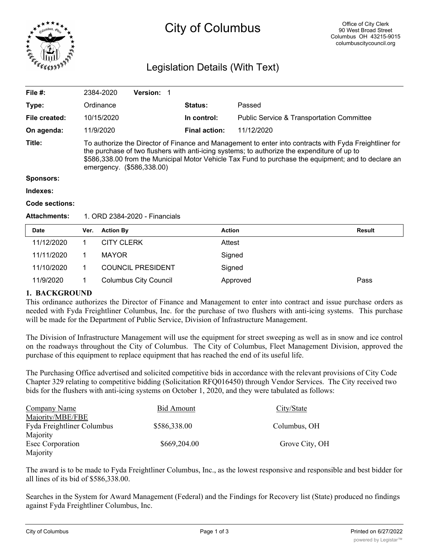

# City of Columbus

# Legislation Details (With Text)

|                                                                                                                                                                                                                                                                                                                                           | 1. ORD 2384-2020 - Financials |                      |                                                      |  |
|-------------------------------------------------------------------------------------------------------------------------------------------------------------------------------------------------------------------------------------------------------------------------------------------------------------------------------------------|-------------------------------|----------------------|------------------------------------------------------|--|
|                                                                                                                                                                                                                                                                                                                                           |                               |                      |                                                      |  |
|                                                                                                                                                                                                                                                                                                                                           |                               |                      |                                                      |  |
|                                                                                                                                                                                                                                                                                                                                           |                               |                      |                                                      |  |
|                                                                                                                                                                                                                                                                                                                                           |                               |                      |                                                      |  |
| To authorize the Director of Finance and Management to enter into contracts with Fyda Freightliner for<br>the purchase of two flushers with anti-icing systems; to authorize the expenditure of up to<br>\$586,338.00 from the Municipal Motor Vehicle Tax Fund to purchase the equipment; and to declare an<br>emergency. (\$586,338.00) |                               |                      |                                                      |  |
| 11/9/2020                                                                                                                                                                                                                                                                                                                                 |                               | <b>Final action:</b> | 11/12/2020                                           |  |
| 10/15/2020                                                                                                                                                                                                                                                                                                                                |                               | In control:          | <b>Public Service &amp; Transportation Committee</b> |  |
| Ordinance                                                                                                                                                                                                                                                                                                                                 |                               | <b>Status:</b>       | Passed                                               |  |
| 2384-2020                                                                                                                                                                                                                                                                                                                                 | <b>Version:</b>               |                      |                                                      |  |
|                                                                                                                                                                                                                                                                                                                                           |                               |                      |                                                      |  |

| <b>Date</b> | Ver. | <b>Action By</b>             | Action   | Result |
|-------------|------|------------------------------|----------|--------|
| 11/12/2020  |      | <b>CITY CLERK</b>            | Attest   |        |
| 11/11/2020  |      | <b>MAYOR</b>                 | Signed   |        |
| 11/10/2020  |      | <b>COUNCIL PRESIDENT</b>     | Signed   |        |
| 11/9/2020   |      | <b>Columbus City Council</b> | Approved | Pass   |

# **1. BACKGROUND**

This ordinance authorizes the Director of Finance and Management to enter into contract and issue purchase orders as needed with Fyda Freightliner Columbus, Inc. for the purchase of two flushers with anti-icing systems. This purchase will be made for the Department of Public Service, Division of Infrastructure Management.

The Division of Infrastructure Management will use the equipment for street sweeping as well as in snow and ice control on the roadways throughout the City of Columbus. The City of Columbus, Fleet Management Division, approved the purchase of this equipment to replace equipment that has reached the end of its useful life.

The Purchasing Office advertised and solicited competitive bids in accordance with the relevant provisions of City Code Chapter 329 relating to competitive bidding (Solicitation RFQ016450) through Vendor Services. The City received two bids for the flushers with anti-icing systems on October 1, 2020, and they were tabulated as follows:

| <b>Company Name</b>        | Bid Amount   | City/State     |
|----------------------------|--------------|----------------|
| Majority/MBE/FBE           |              |                |
| Fyda Freightliner Columbus | \$586,338.00 | Columbus, OH   |
| Majority                   |              |                |
| Esec Corporation           | \$669,204.00 | Grove City, OH |
| Majority                   |              |                |

The award is to be made to Fyda Freightliner Columbus, Inc., as the lowest responsive and responsible and best bidder for all lines of its bid of \$586,338.00.

Searches in the System for Award Management (Federal) and the Findings for Recovery list (State) produced no findings against Fyda Freightliner Columbus, Inc.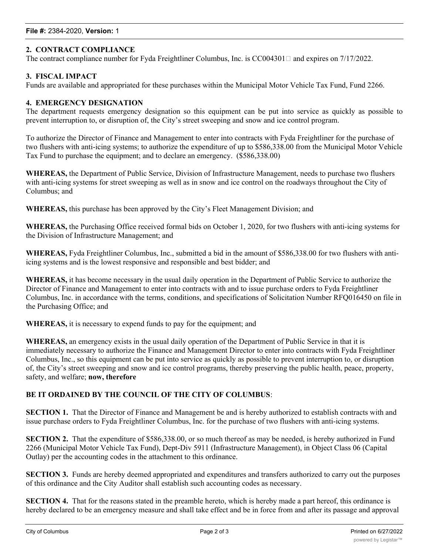## **2. CONTRACT COMPLIANCE**

The contract compliance number for Fyda Freightliner Columbus, Inc. is  $CC004301\Box$  and expires on  $7/17/2022$ .

#### **3. FISCAL IMPACT**

Funds are available and appropriated for these purchases within the Municipal Motor Vehicle Tax Fund, Fund 2266.

#### **4. EMERGENCY DESIGNATION**

The department requests emergency designation so this equipment can be put into service as quickly as possible to prevent interruption to, or disruption of, the City's street sweeping and snow and ice control program.

To authorize the Director of Finance and Management to enter into contracts with Fyda Freightliner for the purchase of two flushers with anti-icing systems; to authorize the expenditure of up to \$586,338.00 from the Municipal Motor Vehicle Tax Fund to purchase the equipment; and to declare an emergency. (\$586,338.00)

**WHEREAS,** the Department of Public Service, Division of Infrastructure Management, needs to purchase two flushers with anti-icing systems for street sweeping as well as in snow and ice control on the roadways throughout the City of Columbus; and

**WHEREAS,** this purchase has been approved by the City's Fleet Management Division; and

**WHEREAS,** the Purchasing Office received formal bids on October 1, 2020, for two flushers with anti-icing systems for the Division of Infrastructure Management; and

**WHEREAS,** Fyda Freightliner Columbus, Inc., submitted a bid in the amount of \$586,338.00 for two flushers with antiicing systems and is the lowest responsive and responsible and best bidder; and

**WHEREAS,** it has become necessary in the usual daily operation in the Department of Public Service to authorize the Director of Finance and Management to enter into contracts with and to issue purchase orders to Fyda Freightliner Columbus, Inc. in accordance with the terms, conditions, and specifications of Solicitation Number RFQ016450 on file in the Purchasing Office; and

**WHEREAS,** it is necessary to expend funds to pay for the equipment; and

**WHEREAS,** an emergency exists in the usual daily operation of the Department of Public Service in that it is immediately necessary to authorize the Finance and Management Director to enter into contracts with Fyda Freightliner Columbus, Inc., so this equipment can be put into service as quickly as possible to prevent interruption to, or disruption of, the City's street sweeping and snow and ice control programs, thereby preserving the public health, peace, property, safety, and welfare; **now, therefore**

#### **BE IT ORDAINED BY THE COUNCIL OF THE CITY OF COLUMBUS**:

**SECTION 1.** That the Director of Finance and Management be and is hereby authorized to establish contracts with and issue purchase orders to Fyda Freightliner Columbus, Inc. for the purchase of two flushers with anti-icing systems.

**SECTION 2.** That the expenditure of \$586,338.00, or so much thereof as may be needed, is hereby authorized in Fund 2266 (Municipal Motor Vehicle Tax Fund), Dept-Div 5911 (Infrastructure Management), in Object Class 06 (Capital Outlay) per the accounting codes in the attachment to this ordinance.

**SECTION 3.** Funds are hereby deemed appropriated and expenditures and transfers authorized to carry out the purposes of this ordinance and the City Auditor shall establish such accounting codes as necessary.

**SECTION 4.** That for the reasons stated in the preamble hereto, which is hereby made a part hereof, this ordinance is hereby declared to be an emergency measure and shall take effect and be in force from and after its passage and approval